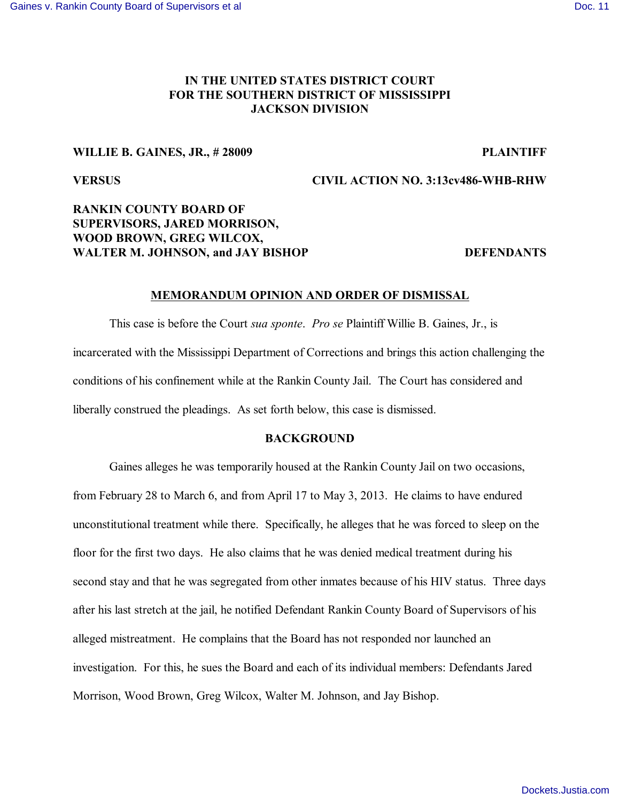# **IN THE UNITED STATES DISTRICT COURT FOR THE SOUTHERN DISTRICT OF MISSISSIPPI JACKSON DIVISION**

## **WILLIE B. GAINES, JR., # 28009 PLAINTIFF**

# **VERSUS CIVIL ACTION NO. 3:13cv486-WHB-RHW**

# **RANKIN COUNTY BOARD OF SUPERVISORS, JARED MORRISON, WOOD BROWN, GREG WILCOX,**  WALTER M. JOHNSON, and JAY BISHOP DEFENDANTS

## **MEMORANDUM OPINION AND ORDER OF DISMISSAL**

This case is before the Court *sua sponte*. *Pro se* Plaintiff Willie B. Gaines, Jr., is incarcerated with the Mississippi Department of Corrections and brings this action challenging the conditions of his confinement while at the Rankin County Jail. The Court has considered and liberally construed the pleadings. As set forth below, this case is dismissed.

### **BACKGROUND**

Gaines alleges he was temporarily housed at the Rankin County Jail on two occasions, from February 28 to March 6, and from April 17 to May 3, 2013. He claims to have endured unconstitutional treatment while there. Specifically, he alleges that he was forced to sleep on the floor for the first two days. He also claims that he was denied medical treatment during his second stay and that he was segregated from other inmates because of his HIV status. Three days after his last stretch at the jail, he notified Defendant Rankin County Board of Supervisors of his alleged mistreatment. He complains that the Board has not responded nor launched an investigation. For this, he sues the Board and each of its individual members: Defendants Jared Morrison, Wood Brown, Greg Wilcox, Walter M. Johnson, and Jay Bishop.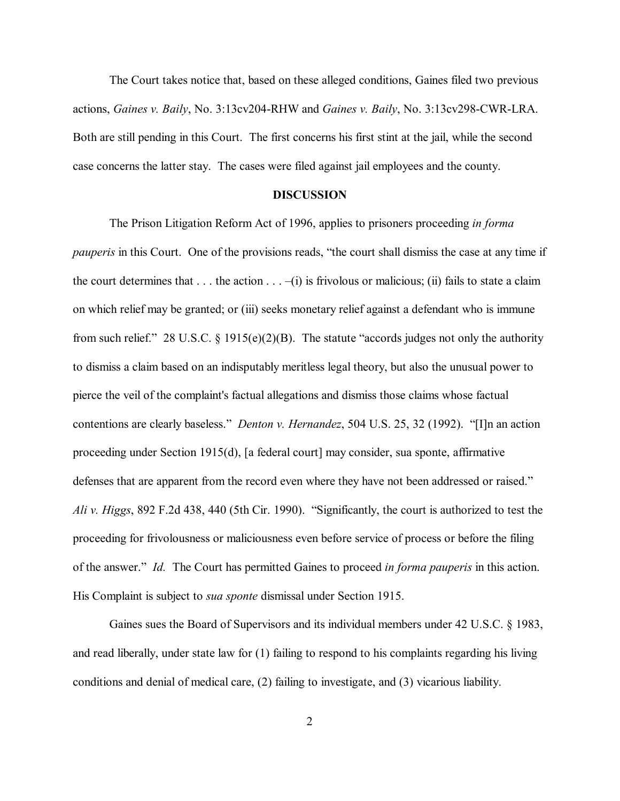The Court takes notice that, based on these alleged conditions, Gaines filed two previous actions, *Gaines v. Baily*, No. 3:13cv204-RHW and *Gaines v. Baily*, No. 3:13cv298-CWR-LRA. Both are still pending in this Court. The first concerns his first stint at the jail, while the second case concerns the latter stay. The cases were filed against jail employees and the county.

# **DISCUSSION**

The Prison Litigation Reform Act of 1996, applies to prisoners proceeding *in forma pauperis* in this Court. One of the provisions reads, "the court shall dismiss the case at any time if the court determines that  $\dots$  the action  $\dots$  –(i) is frivolous or malicious; (ii) fails to state a claim on which relief may be granted; or (iii) seeks monetary relief against a defendant who is immune from such relief." 28 U.S.C. § 1915(e)(2)(B). The statute "accords judges not only the authority to dismiss a claim based on an indisputably meritless legal theory, but also the unusual power to pierce the veil of the complaint's factual allegations and dismiss those claims whose factual contentions are clearly baseless." *Denton v. Hernandez*, 504 U.S. 25, 32 (1992). "[I]n an action proceeding under Section 1915(d), [a federal court] may consider, sua sponte, affirmative defenses that are apparent from the record even where they have not been addressed or raised." *Ali v. Higgs*, 892 F.2d 438, 440 (5th Cir. 1990). "Significantly, the court is authorized to test the proceeding for frivolousness or maliciousness even before service of process or before the filing of the answer." *Id.* The Court has permitted Gaines to proceed *in forma pauperis* in this action. His Complaint is subject to *sua sponte* dismissal under Section 1915.

Gaines sues the Board of Supervisors and its individual members under 42 U.S.C. § 1983, and read liberally, under state law for (1) failing to respond to his complaints regarding his living conditions and denial of medical care, (2) failing to investigate, and (3) vicarious liability.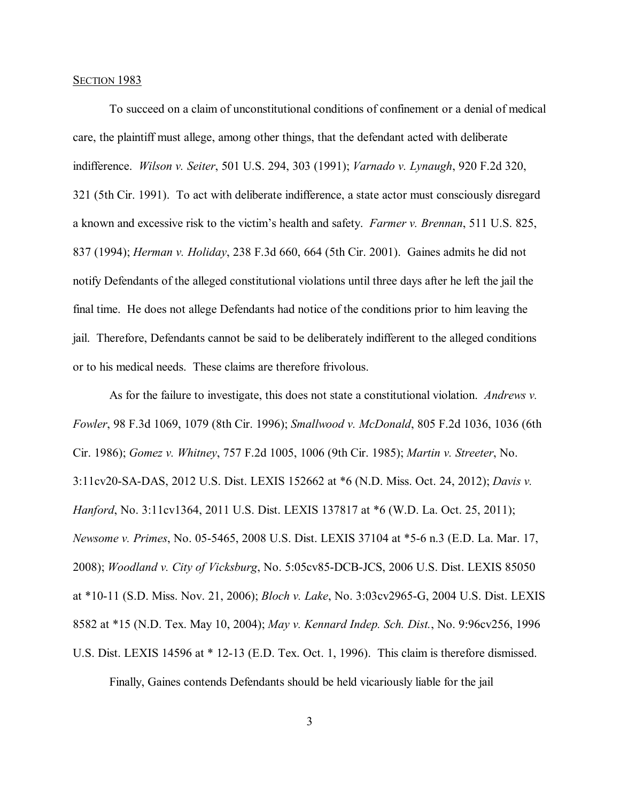### SECTION 1983

To succeed on a claim of unconstitutional conditions of confinement or a denial of medical care, the plaintiff must allege, among other things, that the defendant acted with deliberate indifference. *Wilson v. Seiter*, 501 U.S. 294, 303 (1991); *Varnado v. Lynaugh*, 920 F.2d 320, 321 (5th Cir. 1991). To act with deliberate indifference, a state actor must consciously disregard a known and excessive risk to the victim's health and safety. *Farmer v. Brennan*, 511 U.S. 825, 837 (1994); *Herman v. Holiday*, 238 F.3d 660, 664 (5th Cir. 2001). Gaines admits he did not notify Defendants of the alleged constitutional violations until three days after he left the jail the final time. He does not allege Defendants had notice of the conditions prior to him leaving the jail. Therefore, Defendants cannot be said to be deliberately indifferent to the alleged conditions or to his medical needs. These claims are therefore frivolous.

As for the failure to investigate, this does not state a constitutional violation. *Andrews v. Fowler*, 98 F.3d 1069, 1079 (8th Cir. 1996); *Smallwood v. McDonald*, 805 F.2d 1036, 1036 (6th Cir. 1986); *Gomez v. Whitney*, 757 F.2d 1005, 1006 (9th Cir. 1985); *Martin v. Streeter*, No. 3:11cv20-SA-DAS, 2012 U.S. Dist. LEXIS 152662 at \*6 (N.D. Miss. Oct. 24, 2012); *Davis v. Hanford*, No. 3:11cv1364, 2011 U.S. Dist. LEXIS 137817 at \*6 (W.D. La. Oct. 25, 2011); *Newsome v. Primes*, No. 05-5465, 2008 U.S. Dist. LEXIS 37104 at \*5-6 n.3 (E.D. La. Mar. 17, 2008); *Woodland v. City of Vicksburg*, No. 5:05cv85-DCB-JCS, 2006 U.S. Dist. LEXIS 85050 at \*10-11 (S.D. Miss. Nov. 21, 2006); *Bloch v. Lake*, No. 3:03cv2965-G, 2004 U.S. Dist. LEXIS 8582 at \*15 (N.D. Tex. May 10, 2004); *May v. Kennard Indep. Sch. Dist.*, No. 9:96cv256, 1996 U.S. Dist. LEXIS 14596 at \* 12-13 (E.D. Tex. Oct. 1, 1996). This claim is therefore dismissed.

Finally, Gaines contends Defendants should be held vicariously liable for the jail